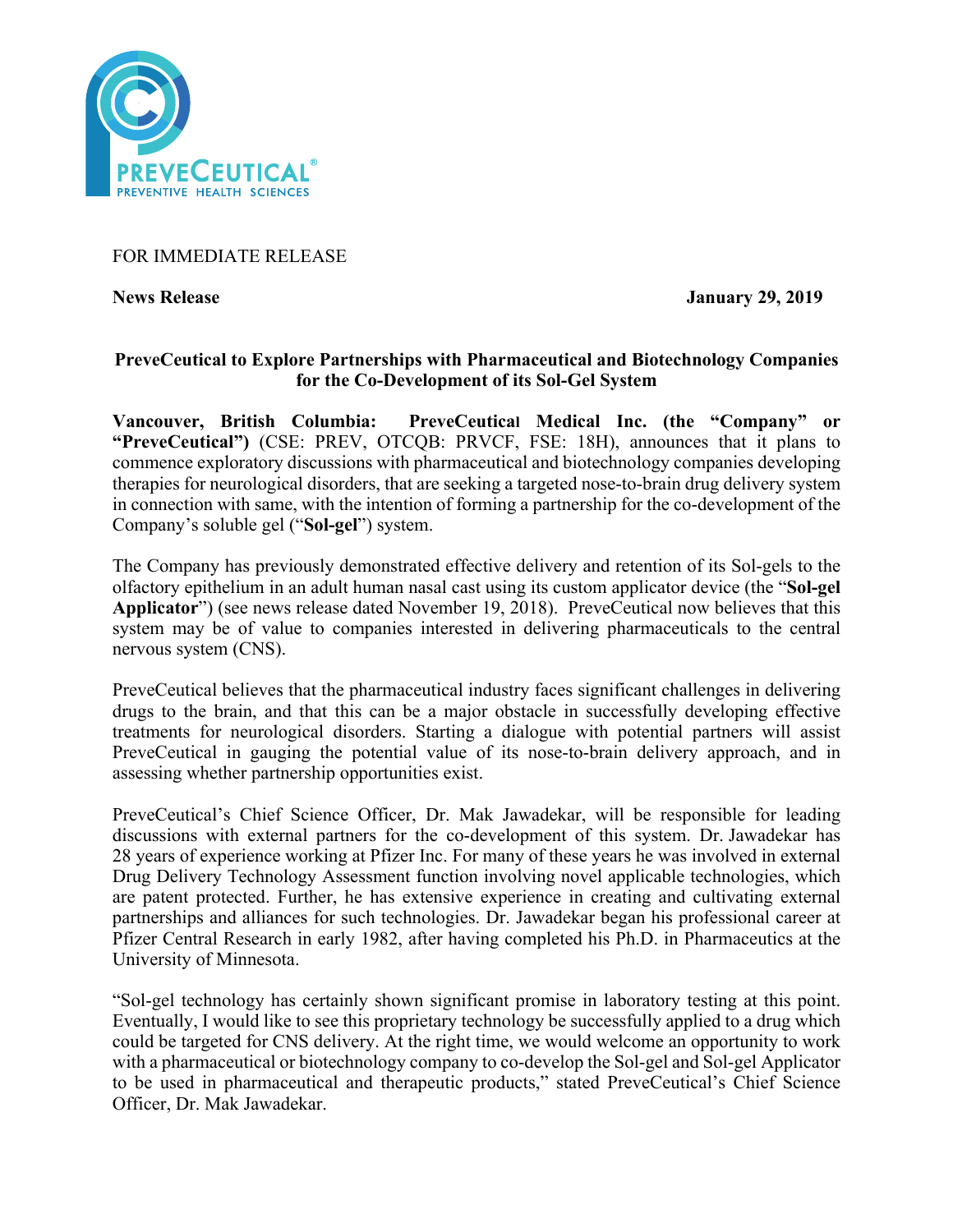

## FOR IMMEDIATE RELEASE

News Release January 29, 2019

### **PreveCeutical to Explore Partnerships with Pharmaceutical and Biotechnology Companies for the Co-Development of its Sol-Gel System**

**Vancouver, British Columbia: PreveCeutical Medical Inc. (the "Company" or "PreveCeutical")** (CSE: PREV, OTCQB: PRVCF, FSE: 18H), announces that it plans to commence exploratory discussions with pharmaceutical and biotechnology companies developing therapies for neurological disorders, that are seeking a targeted nose-to-brain drug delivery system in connection with same, with the intention of forming a partnership for the co-development of the Company's soluble gel ("**Sol-gel**") system.

The Company has previously demonstrated effective delivery and retention of its Sol-gels to the olfactory epithelium in an adult human nasal cast using its custom applicator device (the "**Sol-gel Applicator**") (see news release dated November 19, 2018). PreveCeutical now believes that this system may be of value to companies interested in delivering pharmaceuticals to the central nervous system (CNS).

PreveCeutical believes that the pharmaceutical industry faces significant challenges in delivering drugs to the brain, and that this can be a major obstacle in successfully developing effective treatments for neurological disorders. Starting a dialogue with potential partners will assist PreveCeutical in gauging the potential value of its nose-to-brain delivery approach, and in assessing whether partnership opportunities exist.

PreveCeutical's Chief Science Officer, Dr. Mak Jawadekar, will be responsible for leading discussions with external partners for the co-development of this system. Dr. Jawadekar has 28 years of experience working at Pfizer Inc. For many of these years he was involved in external Drug Delivery Technology Assessment function involving novel applicable technologies, which are patent protected. Further, he has extensive experience in creating and cultivating external partnerships and alliances for such technologies. Dr. Jawadekar began his professional career at Pfizer Central Research in early 1982, after having completed his Ph.D. in Pharmaceutics at the University of Minnesota.

"Sol-gel technology has certainly shown significant promise in laboratory testing at this point. Eventually, I would like to see this proprietary technology be successfully applied to a drug which could be targeted for CNS delivery. At the right time, we would welcome an opportunity to work with a pharmaceutical or biotechnology company to co-develop the Sol-gel and Sol-gel Applicator to be used in pharmaceutical and therapeutic products," stated PreveCeutical's Chief Science Officer, Dr. Mak Jawadekar.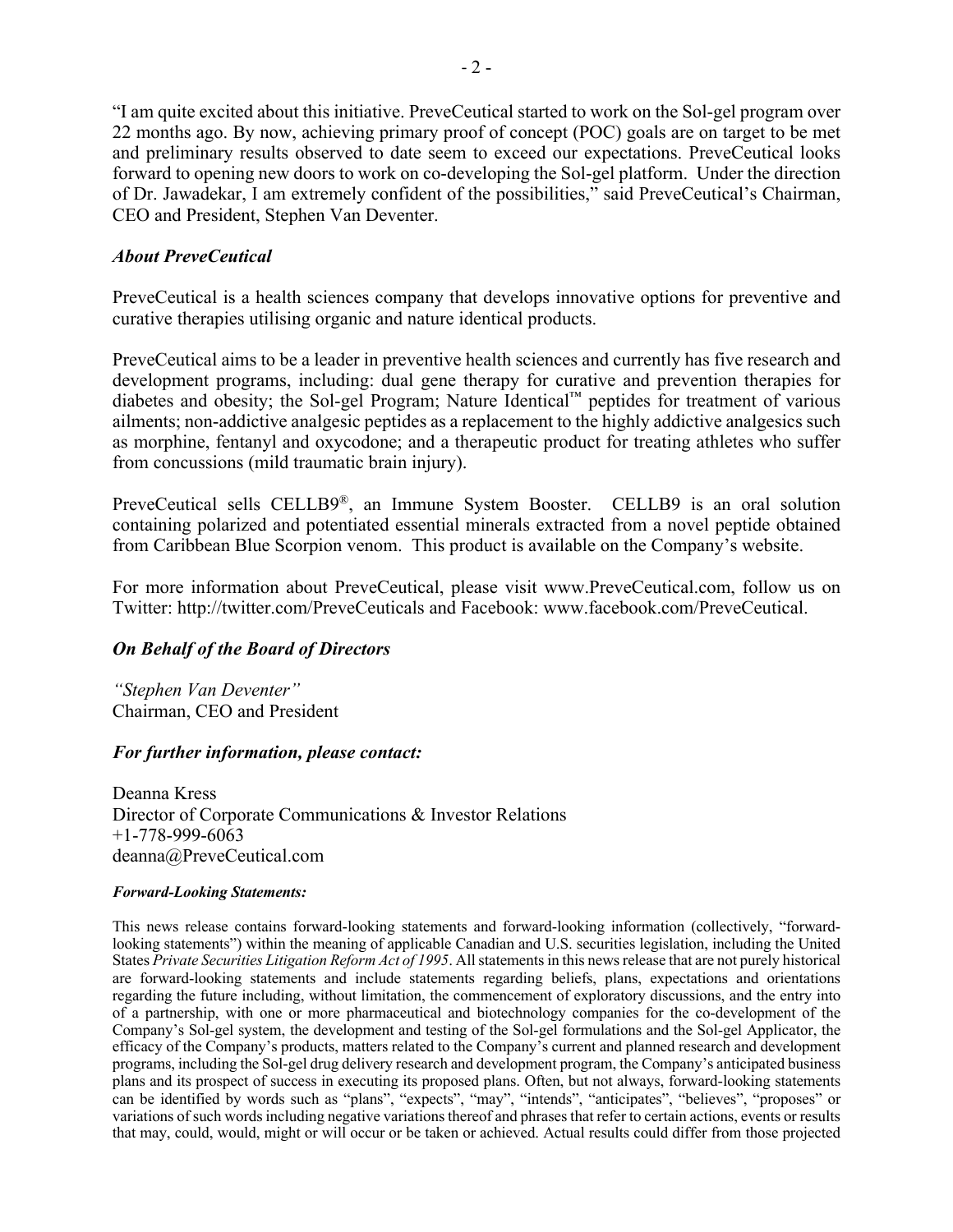"I am quite excited about this initiative. PreveCeutical started to work on the Sol-gel program over 22 months ago. By now, achieving primary proof of concept (POC) goals are on target to be met and preliminary results observed to date seem to exceed our expectations. PreveCeutical looks forward to opening new doors to work on co-developing the Sol-gel platform. Under the direction of Dr. Jawadekar, I am extremely confident of the possibilities," said PreveCeutical's Chairman, CEO and President, Stephen Van Deventer.

## *About PreveCeutical*

PreveCeutical is a health sciences company that develops innovative options for preventive and curative therapies utilising organic and nature identical products.

PreveCeutical aims to be a leader in preventive health sciences and currently has five research and development programs, including: dual gene therapy for curative and prevention therapies for diabetes and obesity; the Sol-gel Program; Nature Identical™ peptides for treatment of various ailments; non-addictive analgesic peptides as a replacement to the highly addictive analgesics such as morphine, fentanyl and oxycodone; and a therapeutic product for treating athletes who suffer from concussions (mild traumatic brain injury).

PreveCeutical sells CELLB9®, an Immune System Booster. CELLB9 is an oral solution containing polarized and potentiated essential minerals extracted from a novel peptide obtained from Caribbean Blue Scorpion venom. This product is available on the Company's website.

For more information about PreveCeutical, please visit www.PreveCeutical.com, follow us on Twitter: http://twitter.com/PreveCeuticals and Facebook: www.facebook.com/PreveCeutical.

# *On Behalf of the Board of Directors*

*"Stephen Van Deventer"* Chairman, CEO and President

#### *For further information, please contact:*

Deanna Kress Director of Corporate Communications & Investor Relations +1-778-999-6063 deanna@PreveCeutical.com

#### *Forward-Looking Statements:*

This news release contains forward-looking statements and forward-looking information (collectively, "forwardlooking statements") within the meaning of applicable Canadian and U.S. securities legislation, including the United States *Private Securities Litigation Reform Act of 1995*. All statements in this news release that are not purely historical are forward-looking statements and include statements regarding beliefs, plans, expectations and orientations regarding the future including, without limitation, the commencement of exploratory discussions, and the entry into of a partnership, with one or more pharmaceutical and biotechnology companies for the co-development of the Company's Sol-gel system, the development and testing of the Sol-gel formulations and the Sol-gel Applicator, the efficacy of the Company's products, matters related to the Company's current and planned research and development programs, including the Sol-gel drug delivery research and development program, the Company's anticipated business plans and its prospect of success in executing its proposed plans. Often, but not always, forward-looking statements can be identified by words such as "plans", "expects", "may", "intends", "anticipates", "believes", "proposes" or variations of such words including negative variations thereof and phrases that refer to certain actions, events or results that may, could, would, might or will occur or be taken or achieved. Actual results could differ from those projected